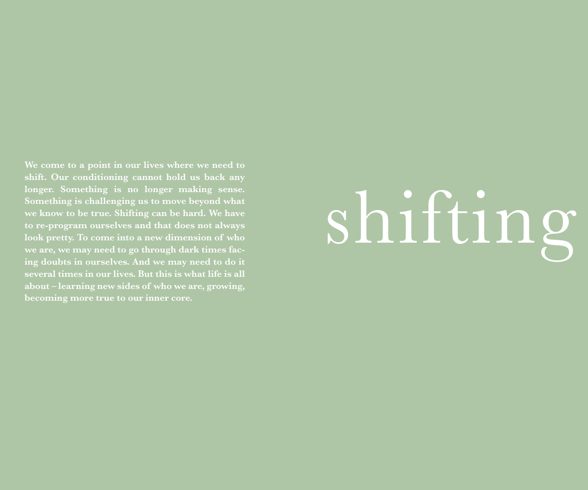**shift. Our conditioning cannot hold us back any longer. Something is no longer making sense. Something is challenging us to move beyond what we know to be true. Shifting can be hard. We have to re-program ourselves and that does not always look pretty. To come into a new dimension of who we are, we may need to go through dark times facing doubts in ourselves. And we may need to do it several times in our lives. But this is what life is all about – learning new sides of who we are, growing, becoming more true to our inner core.**

## shifting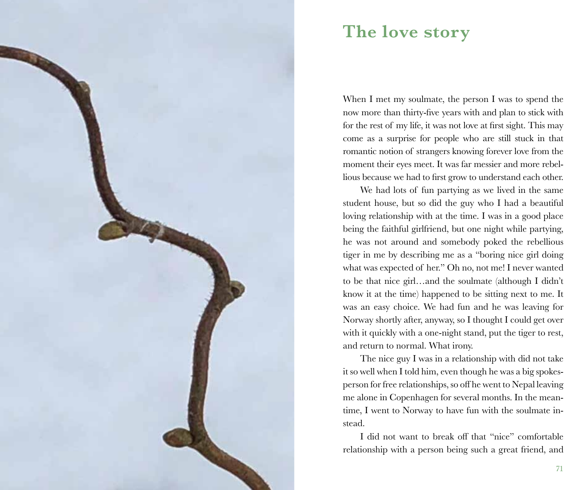

## **The love story**

When I met my soulmate, the person I was to spend the now more than thirty-five years with and plan to stick with for the rest of my life, it was not love at first sight. This may come as a surprise for people who are still stuck in that romantic notion of strangers knowing forever love from the moment their eyes meet. It was far messier and more rebellious because we had to first grow to understand each other.

We had lots of fun partying as we lived in the same student house, but so did the guy who I had a beautiful loving relationship with at the time. I was in a good place being the faithful girlfriend, but one night while partying, he was not around and somebody poked the rebellious tiger in me by describing me as a "boring nice girl doing what was expected of her." Oh no, not me! I never wanted to be that nice girl…and the soulmate (although I didn't know it at the time) happened to be sitting next to me. It was an easy choice. We had fun and he was leaving for Norway shortly after, anyway, so I thought I could get over with it quickly with a one-night stand, put the tiger to rest, and return to normal. What irony.

The nice guy I was in a relationship with did not take it so well when I told him, even though he was a big spokesperson for free relationships, so off he went to Nepal leaving me alone in Copenhagen for several months. In the meantime, I went to Norway to have fun with the soulmate instead.

I did not want to break off that "nice" comfortable relationship with a person being such a great friend, and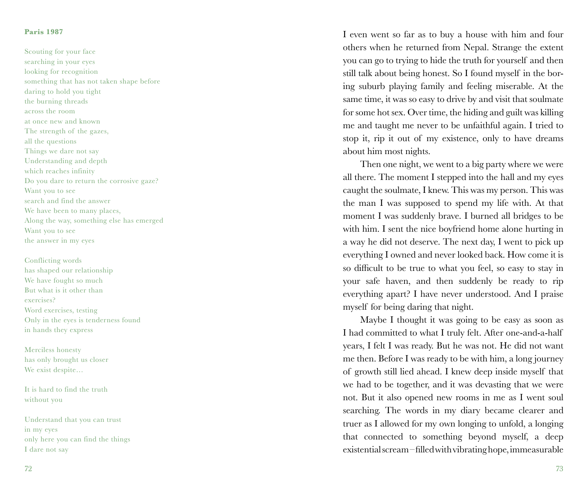## **Paris 1987**

Scouting for your face searching in your eyes looking for recognition something that has not taken shape before daring to hold you tight the burning threads across the room at once new and known The strength of the gazes, all the questions Things we dare not say Understanding and depth which reaches infinity Do you dare to return the corrosive gaze? Want you to see search and find the answer We have been to many places, Along the way, something else has emerged Want you to see the answer in my eyes

Conflicting words has shaped our relationship We have fought so much But what is it other than exercises? Word exercises, testing Only in the eyes is tenderness found in hands they express

Merciless honesty has only brought us closer We exist despite…

It is hard to find the truth without you

Understand that you can trust in my eyes only here you can find the things I dare not say

I even went so far as to buy a house with him and four others when he returned from Nepal. Strange the extent you can go to trying to hide the truth for yourself and then still talk about being honest. So I found myself in the bor ing suburb playing family and feeling miserable. At the same time, it was so easy to drive by and visit that soulmate for some hot sex. Over time, the hiding and guilt was killing me and taught me never to be unfaithful again. I tried to stop it, rip it out of my existence, only to have dreams about him most nights.

Then one night, we went to a big party where we were all there. The moment I stepped into the hall and my eyes caught the soulmate, I knew. This was my person. This was the man I was supposed to spend my life with. At that moment I was suddenly brave. I burned all bridges to be with him. I sent the nice boyfriend home alone hurting in a way he did not deserve. The next day, I went to pick up everything I owned and never looked back. How come it is so difficult to be true to what you feel, so easy to stay in your safe haven, and then suddenly be ready to rip everything apart? I have never understood. And I praise myself for being daring that night.

Maybe I thought it was going to be easy as soon as I had committed to what I truly felt. After one-and-a-half years, I felt I was ready. But he was not. He did not want me then. Before I was ready to be with him, a long journey of growth still lied ahead. I knew deep inside myself that we had to be together, and it was devasting that we were not. But it also opened new rooms in me as I went soul searching. The words in my diary became clearer and truer as I allowed for my own longing to unfold, a longing that connected to something beyond myself, a deep existential scream – filled with vibrating hope, immeasurable